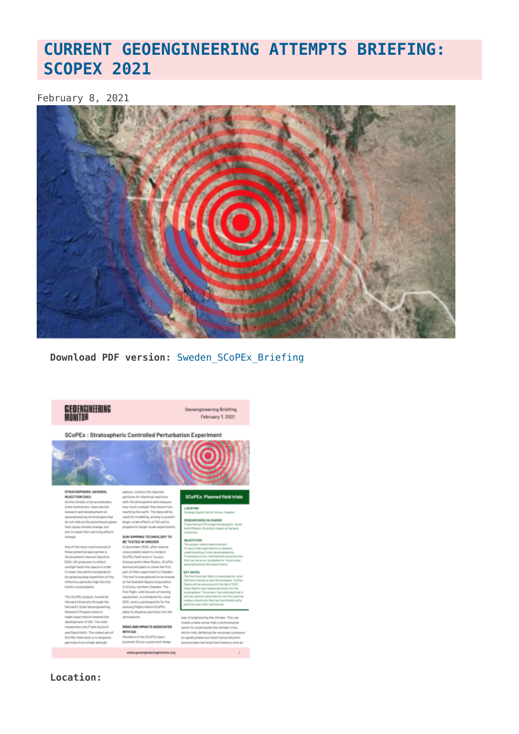# **CURRENT GEOENGINEERING ATTEMPTS BRIEFING: SCOPEX 2021**

#### February 8, 2021



Download PDF version: Sweden SCoPEx Briefing



Geoengineering Briefing February 7, 2021

SCoPEx : Stratospheric Controlled Perturbation Experiment

STRATOSPHERIC AEROSOL<br>INJECTION (SAI) As the climate crisis accelerate<br>a few institutions have started search and development on engineering technologies the not reduce the greenhouse gases hat cause climate change, but in to mask their warming effects stead

of the r se potential approaches i spheric Aerosol Inject Diratespheric Aerosol Injection<br>(SAI), SAI proposes to reflect<br>sumlight back into space in order<br>to lower the earth's temperature<br>by spraying large quantities of ti<br>reflective particles high into the<br>reflective particles h

he SCoPEx project, hosted at<br>arvard University through the<br>arvard's Solar Geoengineering<br>esearch Program aims to make experiments towards the<br>development of SAI. The main<br>researchers are Frank Keutsch researchers are rrans neurons<br>and David Keith. The stated aim of<br>SCoPEx field tests is to disperse<br>particles from a high-altitude

felling, aiming to predic arger-scale effects of SAI and to prepare for larger-scale exper

#### SUN-DIMMING TECHNOLOGY TO **BE TESTED IN SWEDEN**

In December 2020, after se massessmential relates to expedited ate in Trease SCoPE+ Sald N SCoPEx

#### RISKS AND IMPACTS ASSOCIATED **WITH SAI** Hembers of the SCoPEx team

promote SAI as a quick and cheap

**SCoPEx: Planned field trials** 

**LOCATION**<br>Ferange Space Centre, Kiruna, Sweden

RESEARCHERS IN CHARGE

ing the climate. This can create a false sense that a technological quick-fix could tackle the climate crisis quick-to could becke the cerves orner.<br>which risks defiating the necessary pressure<br>to rapidly phase out fossil fuel production as the fossil fuel industry with an

 $\mathbb{R}^{\mathbb{Z}^2}$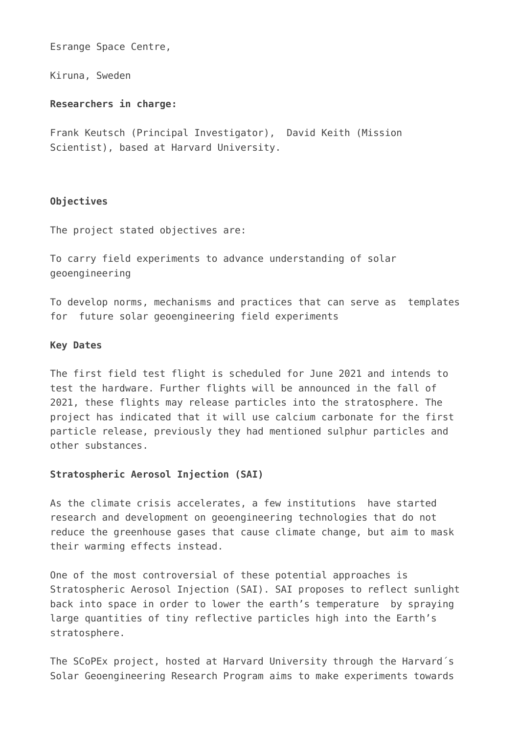Esrange Space Centre,

Kiruna, Sweden

## **Researchers in charge:**

Frank Keutsch (Principal Investigator), David Keith (Mission Scientist), based at Harvard University.

## **Objectives**

The project stated objectives are:

To carry field experiments to advance understanding of solar geoengineering

To develop norms, mechanisms and practices that can serve as templates for future solar geoengineering field experiments

#### **Key Dates**

The first field test flight is scheduled for June 2021 and intends to test the hardware. Further flights will be announced in the fall of 2021, these flights may release particles into the stratosphere. The project has indicated that it will use calcium carbonate for the first particle release, previously they had mentioned sulphur particles and other substances.

#### **Stratospheric Aerosol Injection (SAI)**

As the climate crisis accelerates, a few institutions have started research and development on geoengineering technologies that do not reduce the greenhouse gases that cause climate change, but aim to mask their warming effects instead.

One of the most controversial of these potential approaches is Stratospheric Aerosol Injection (SAI). SAI proposes to reflect sunlight back into space in order to lower the earth's temperature by spraying large quantities of tiny reflective particles high into the Earth's stratosphere.

The SCoPEx project, hosted at Harvard University through the Harvard´s Solar Geoengineering Research Program aims to make experiments towards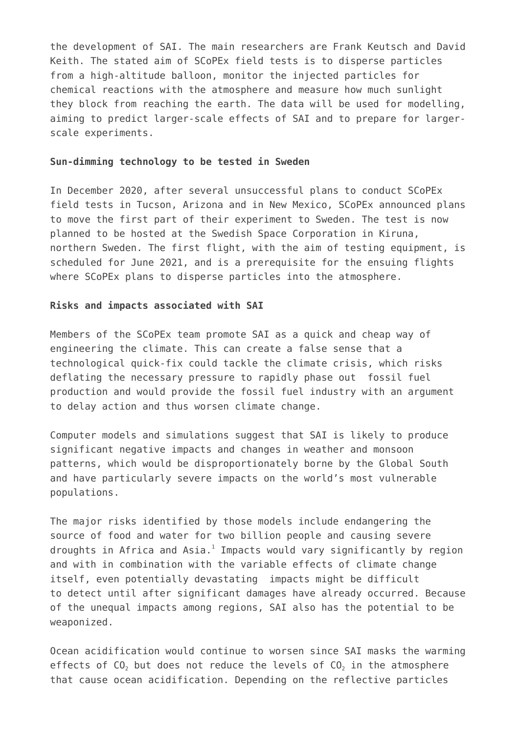the development of SAI. The main researchers are Frank Keutsch and David Keith. The stated aim of SCoPEx field tests is to disperse particles from a high-altitude balloon, monitor the injected particles for chemical reactions with the atmosphere and measure how much sunlight they block from reaching the earth. The data will be used for modelling, aiming to predict larger-scale effects of SAI and to prepare for largerscale experiments.

#### **Sun-dimming technology to be tested in Sweden**

In December 2020, after several unsuccessful plans to conduct SCoPEx field tests in Tucson, Arizona and in New Mexico, SCoPEx announced plans to move the first part of their experiment to Sweden. The test is now planned to be hosted at the Swedish Space Corporation in Kiruna, northern Sweden. The first flight, with the aim of testing equipment, is scheduled for June 2021, and is a prerequisite for the ensuing flights where SCoPEx plans to disperse particles into the atmosphere.

#### **Risks and impacts associated with SAI**

Members of the SCoPEx team promote SAI as a quick and cheap way of engineering the climate. This can create a false sense that a technological quick-fix could tackle the climate crisis, which risks deflating the necessary pressure to rapidly phase out fossil fuel production and would provide the fossil fuel industry with an argument to delay action and thus worsen climate change.

Computer models and simulations suggest that SAI is likely to produce significant negative impacts and changes in weather and monsoon patterns, which would be disproportionately borne by the Global South and have particularly severe impacts on the world's most vulnerable populations.

The major risks identified by those models include endangering the source of food and water for two billion people and causing severe droughts in Africa and Asia. $^1$  Impacts would vary significantly by region and with in combination with the variable effects of climate change itself, even potentially devastating impacts might be difficult to detect until after significant damages have already occurred. Because of the unequal impacts among regions, SAI also has the potential to be weaponized.

Ocean acidification would continue to worsen since SAI masks the warming effects of  $CO<sub>2</sub>$  but does not reduce the levels of  $CO<sub>2</sub>$  in the atmosphere that cause ocean acidification. Depending on the reflective particles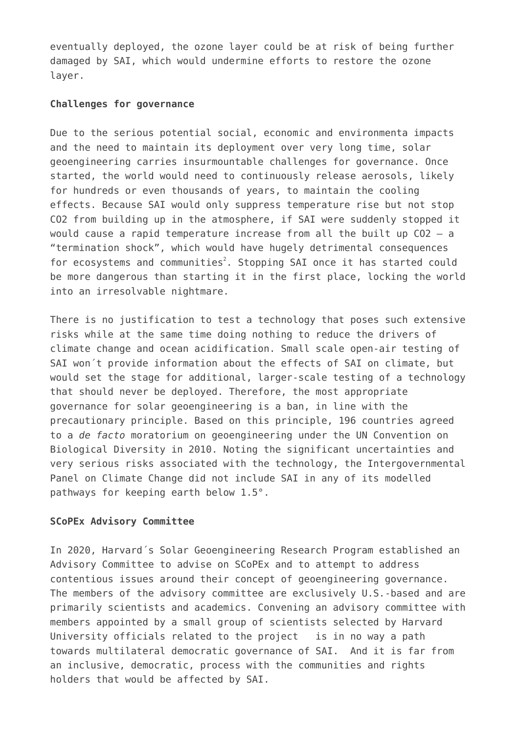eventually deployed, the ozone layer could be at risk of being further damaged by SAI, which would undermine efforts to restore the ozone layer.

#### **Challenges for governance**

Due to the serious potential social, economic and environmenta impacts and the need to maintain its deployment over very long time, solar geoengineering carries insurmountable challenges for governance. Once started, the world would need to continuously release aerosols, likely for hundreds or even thousands of years, to maintain the cooling effects. Because SAI would only suppress temperature rise but not stop CO2 from building up in the atmosphere, if SAI were suddenly stopped it would cause a rapid temperature increase from all the built up CO2 – a "termination shock", which would have hugely detrimental consequences for ecosystems and communities<sup>2</sup>. Stopping SAI once it has started could be more dangerous than starting it in the first place, locking the world into an irresolvable nightmare.

There is no justification to test a technology that poses such extensive risks while at the same time doing nothing to reduce the drivers of climate change and ocean acidification. Small scale open-air testing of SAI won´t provide information about the effects of SAI on climate, but would set the stage for additional, larger-scale testing of a technology that should never be deployed. Therefore, the most appropriate governance for solar geoengineering is a ban, in line with the precautionary principle. Based on this principle, 196 countries agreed to a *de facto* moratorium on geoengineering under the UN Convention on Biological Diversity in 2010. Noting the significant uncertainties and very serious risks associated with the technology, the Intergovernmental Panel on Climate Change did not include SAI in any of its modelled pathways for keeping earth below 1.5°.

#### **SCoPEx Advisory Committee**

In 2020, Harvard´s Solar Geoengineering Research Program established an Advisory Committee to advise on SCoPEx and to attempt to address contentious issues around their concept of geoengineering governance. The members of the advisory committee are exclusively U.S.-based and are primarily scientists and academics. Convening an advisory committee with members appointed by a small group of scientists selected by Harvard University officials related to the project is in no way a path towards multilateral democratic governance of SAI. And it is far from an inclusive, democratic, process with the communities and rights holders that would be affected by SAI.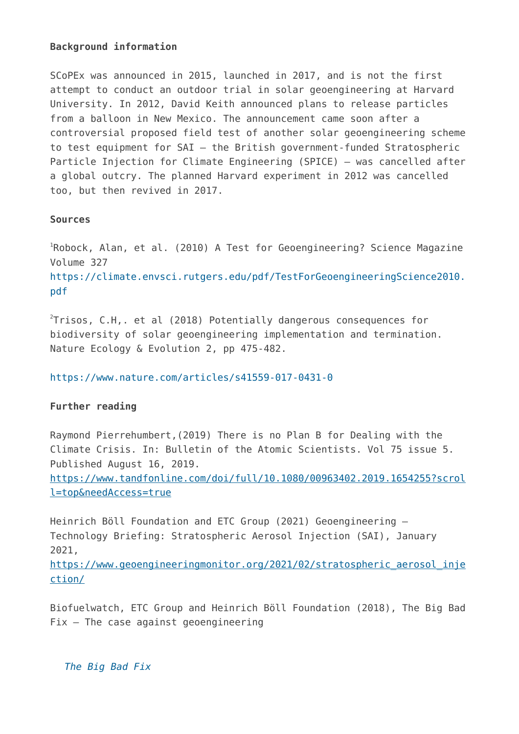## **Background information**

SCoPEx was announced in 2015, launched in 2017, and is not the first attempt to conduct an outdoor trial in solar geoengineering at Harvard University. In 2012, David Keith announced plans to release particles from a balloon in New Mexico. The announcement came soon after a controversial proposed field test of another solar geoengineering scheme to test equipment for SAI – the British government-funded Stratospheric Particle Injection for Climate Engineering (SPICE) – was cancelled after a global outcry. The planned Harvard experiment in 2012 was cancelled too, but then revived in 2017.

## **Sources**

<sup>1</sup>Robock, Alan, et al. (2010) A Test for Geoengineering? Science Magazine Volume 327 [https://climate.envsci.rutgers.edu/pdf/TestForGeoengineeringScience2010.](https://climate.envsci.rutgers.edu/pdf/TestForGeoengineeringScience2010.pdf) [pdf](https://climate.envsci.rutgers.edu/pdf/TestForGeoengineeringScience2010.pdf)

 $^{2}$ Trisos, C.H,. et al (2018) Potentially dangerous consequences for biodiversity of solar geoengineering implementation and termination. Nature Ecology & Evolution 2, pp 475-482.

<https://www.nature.com/articles/s41559-017-0431-0>

# **Further reading**

Raymond Pierrehumbert,(2019) There is no Plan B for Dealing with the Climate Crisis. In: Bulletin of the Atomic Scientists. Vol 75 issue 5. Published August 16, 2019.

[https://www.tandfonline.com/doi/full/10.1080/00963402.2019.1654255?scrol](https://www.tandfonline.com/doi/full/10.1080/00963402.2019.1654255?scroll=top&needAccess=true) [l=top&needAccess=true](https://www.tandfonline.com/doi/full/10.1080/00963402.2019.1654255?scroll=top&needAccess=true)

Heinrich Böll Foundation and ETC Group (2021) Geoengineering – Technology Briefing: Stratospheric Aerosol Injection (SAI), January 2021,

[https://www.geoengineeringmonitor.org/2021/02/stratospheric\\_aerosol\\_inje](https://www.geoengineeringmonitor.org/2018/06/) [ction/](https://www.geoengineeringmonitor.org/2018/06/)

Biofuelwatch, ETC Group and Heinrich Böll Foundation (2018), The Big Bad  $Fix$  – The case against geoengineering

*[The Big Bad Fix](http://www.geoengineeringmonitor.org/2017/12/3087/)*